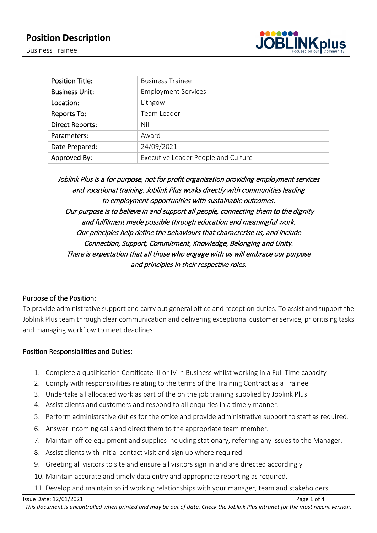

| <b>Position Title:</b> | <b>Business Trainee</b>             |
|------------------------|-------------------------------------|
| <b>Business Unit:</b>  | <b>Employment Services</b>          |
| Location:              | Lithgow                             |
| Reports To:            | Team Leader                         |
| <b>Direct Reports:</b> | Nil                                 |
| Parameters:            | Award                               |
| Date Prepared:         | 24/09/2021                          |
| Approved By:           | Executive Leader People and Culture |

Joblink Plus is a for purpose, not for profit organisation providing employment services and vocational training. Joblink Plus works directly with communities leading to employment opportunities with sustainable outcomes. Our purpose is to believe in and support all people, connecting them to the dignity and fulfilment made possible through education and meaningful work. Our principles help define the behaviours that characterise us, and include Connection, Support, Commitment, Knowledge, Belonging and Unity. There is expectation that all those who engage with us will embrace our purpose and principles in their respective roles.

# Purpose of the Position:

To provide administrative support and carry out general office and reception duties. To assist and support the Joblink Plus team through clear communication and delivering exceptional customer service, prioritising tasks and managing workflow to meet deadlines.

## Position Responsibilities and Duties:

- 1. Complete a qualification Certificate III or IV in Business whilst working in a Full Time capacity
- 2. Comply with responsibilities relating to the terms of the Training Contract as a Trainee
- 3. Undertake all allocated work as part of the on the job training supplied by Joblink Plus
- 4. Assist clients and customers and respond to all enquiries in a timely manner.
- 5. Perform administrative duties for the office and provide administrative support to staff as required.
- 6. Answer incoming calls and direct them to the appropriate team member.
- 7. Maintain office equipment and supplies including stationary, referring any issues to the Manager.
- 8. Assist clients with initial contact visit and sign up where required.
- 9. Greeting all visitors to site and ensure all visitors sign in and are directed accordingly
- 10. Maintain accurate and timely data entry and appropriate reporting as required.
- 11. Develop and maintain solid working relationships with your manager, team and stakeholders.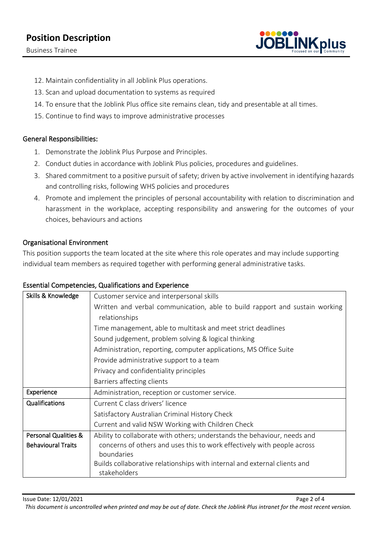# **Position Description**

Business Trainee



- 12. Maintain confidentiality in all Joblink Plus operations.
- 13. Scan and upload documentation to systems as required
- 14. To ensure that the Joblink Plus office site remains clean, tidy and presentable at all times.
- 15. Continue to find ways to improve administrative processes

## General Responsibilities:

- 1. Demonstrate the Joblink Plus Purpose and Principles.
- 2. Conduct duties in accordance with Joblink Plus policies, procedures and guidelines.
- 3. Shared commitment to a positive pursuit of safety; driven by active involvement in identifying hazards and controlling risks, following WHS policies and procedures
- 4. Promote and implement the principles of personal accountability with relation to discrimination and harassment in the workplace, accepting responsibility and answering for the outcomes of your choices, behaviours and actions

## Organisational Environment

This position supports the team located at the site where this role operates and may include supporting individual team members as required together with performing general administrative tasks.

## Essential Competencies, Qualifications and Experience

| Skills & Knowledge              | Customer service and interpersonal skills                                   |
|---------------------------------|-----------------------------------------------------------------------------|
|                                 | Written and verbal communication, able to build rapport and sustain working |
|                                 | relationships                                                               |
|                                 | Time management, able to multitask and meet strict deadlines                |
|                                 | Sound judgement, problem solving & logical thinking                         |
|                                 | Administration, reporting, computer applications, MS Office Suite           |
|                                 | Provide administrative support to a team                                    |
|                                 | Privacy and confidentiality principles                                      |
|                                 | Barriers affecting clients                                                  |
| Experience                      | Administration, reception or customer service.                              |
| Qualifications                  | Current C class drivers' licence                                            |
|                                 | Satisfactory Australian Criminal History Check                              |
|                                 | Current and valid NSW Working with Children Check                           |
| <b>Personal Qualities &amp;</b> | Ability to collaborate with others; understands the behaviour, needs and    |
| <b>Behavioural Traits</b>       | concerns of others and uses this to work effectively with people across     |
|                                 | boundaries                                                                  |
|                                 | Builds collaborative relationships with internal and external clients and   |
|                                 | stakeholders                                                                |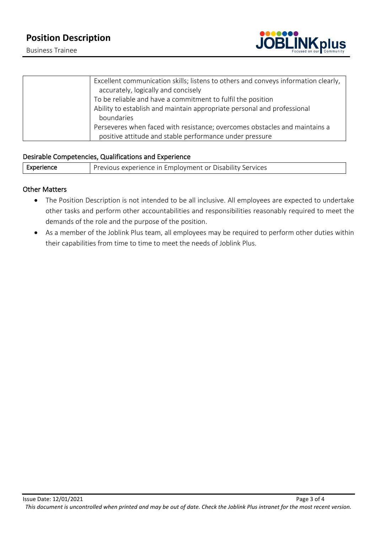# **Position Description**

Business Trainee



| Excellent communication skills; listens to others and conveys information clearly, |
|------------------------------------------------------------------------------------|
| accurately, logically and concisely                                                |
| To be reliable and have a commitment to fulfil the position                        |
| Ability to establish and maintain appropriate personal and professional            |
| boundaries                                                                         |
| Perseveres when faced with resistance; overcomes obstacles and maintains a         |
| positive attitude and stable performance under pressure                            |

### Desirable Competencies, Qualifications and Experience

Experience **Previous experience in Employment or Disability Services** 

#### Other Matters

- The Position Description is not intended to be all inclusive. All employees are expected to undertake other tasks and perform other accountabilities and responsibilities reasonably required to meet the demands of the role and the purpose of the position.
- As a member of the Joblink Plus team, all employees may be required to perform other duties within their capabilities from time to time to meet the needs of Joblink Plus.